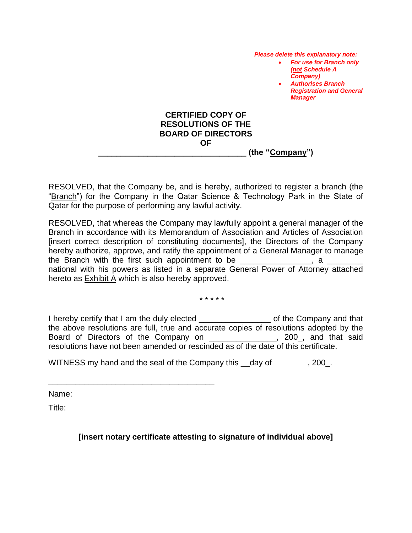*Please delete this explanatory note:* 

- *For use for Branch only (not Schedule A Company)*
- *Authorises Branch Registration and General Manager*

### **CERTIFIED COPY OF RESOLUTIONS OF THE BOARD OF DIRECTORS OF \_\_\_\_\_\_\_\_\_\_\_\_\_\_\_\_\_\_\_\_\_\_\_\_\_\_\_\_\_\_\_\_\_ (the "Company")**

RESOLVED, that the Company be, and is hereby, authorized to register a branch (the "Branch") for the Company in the Qatar Science & Technology Park in the State of Qatar for the purpose of performing any lawful activity.

RESOLVED, that whereas the Company may lawfully appoint a general manager of the Branch in accordance with its Memorandum of Association and Articles of Association [insert correct description of constituting documents], the Directors of the Company hereby authorize, approve, and ratify the appointment of a General Manager to manage the Branch with the first such appointment to be  $\Box$ national with his powers as listed in a separate General Power of Attorney attached hereto as Exhibit A which is also hereby approved.

\* \* \* \* \*

I hereby certify that I am the duly elected \_\_\_\_\_\_\_\_\_\_\_\_\_\_\_\_ of the Company and that the above resolutions are full, true and accurate copies of resolutions adopted by the Board of Directors of the Company on \_\_\_\_\_\_\_\_\_\_\_\_\_\_\_, 200\_, and that said resolutions have not been amended or rescinded as of the date of this certificate.

WITNESS my hand and the seal of the Company this \_\_day of , 200\_.

\_\_\_\_\_\_\_\_\_\_\_\_\_\_\_\_\_\_\_\_\_\_\_\_\_\_\_\_\_\_\_\_\_\_\_\_\_

Name:

Title:

# **[insert notary certificate attesting to signature of individual above]**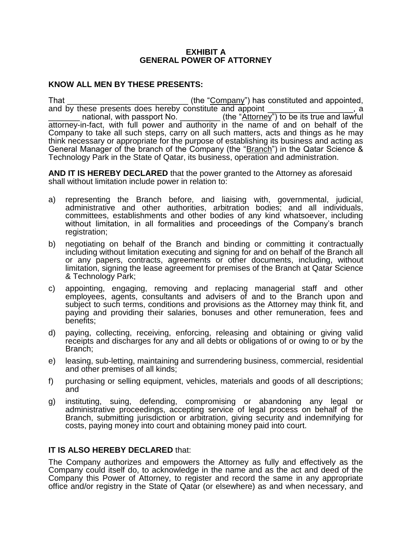#### **EXHIBIT A GENERAL POWER OF ATTORNEY**

## **KNOW ALL MEN BY THESE PRESENTS:**

That the "Company") has constituted and appointed, and by these presents does hereby constitute and appoint national, with passport No. \_\_\_\_\_\_\_\_\_\_\_\_(the "Attorney") to be its true and lawful attorney-in-fact, with full power and authority in the name of and on behalf of the Company to take all such steps, carry on all such matters, acts and things as he may think necessary or appropriate for the purpose of establishing its business and acting as General Manager of the branch of the Company (the "Branch") in the Qatar Science & Technology Park in the State of Qatar, its business, operation and administration.

**AND IT IS HEREBY DECLARED** that the power granted to the Attorney as aforesaid shall without limitation include power in relation to:

- a) representing the Branch before, and liaising with, governmental, judicial, administrative and other authorities, arbitration bodies; and all individuals, committees, establishments and other bodies of any kind whatsoever, including without limitation, in all formalities and proceedings of the Company's branch registration;
- b) negotiating on behalf of the Branch and binding or committing it contractually including without limitation executing and signing for and on behalf of the Branch all or any papers, contracts, agreements or other documents, including, without limitation, signing the lease agreement for premises of the Branch at Qatar Science & Technology Park;
- c) appointing, engaging, removing and replacing managerial staff and other employees, agents, consultants and advisers of and to the Branch upon and subject to such terms, conditions and provisions as the Attorney may think fit, and paying and providing their salaries, bonuses and other remuneration, fees and benefits;
- d) paying, collecting, receiving, enforcing, releasing and obtaining or giving valid receipts and discharges for any and all debts or obligations of or owing to or by the Branch;
- e) leasing, sub-letting, maintaining and surrendering business, commercial, residential and other premises of all kinds;
- f) purchasing or selling equipment, vehicles, materials and goods of all descriptions; and
- g) instituting, suing, defending, compromising or abandoning any legal or administrative proceedings, accepting service of legal process on behalf of the Branch, submitting jurisdiction or arbitration, giving security and indemnifying for costs, paying money into court and obtaining money paid into court.

#### **IT IS ALSO HEREBY DECLARED that:**

The Company authorizes and empowers the Attorney as fully and effectively as the Company could itself do, to acknowledge in the name and as the act and deed of the Company this Power of Attorney, to register and record the same in any appropriate office and/or registry in the State of Qatar (or elsewhere) as and when necessary, and